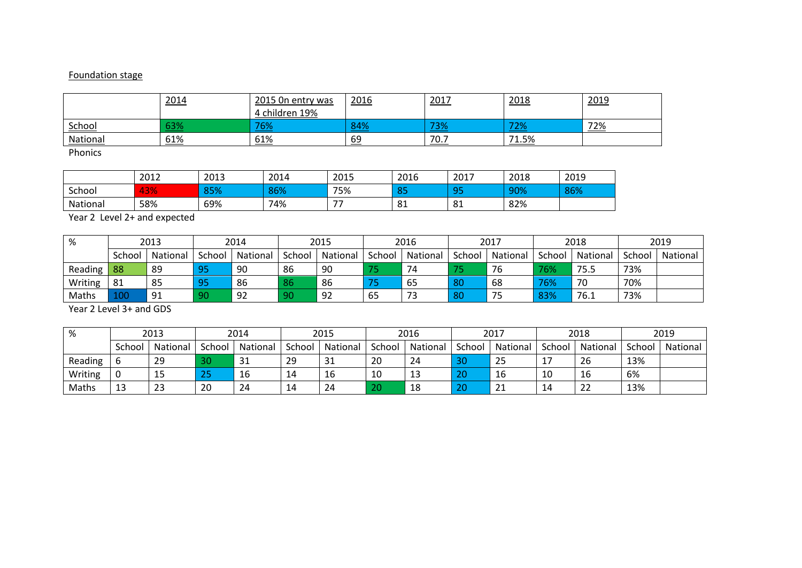## Foundation stage

|                 | 2014 | 2015 On entry was | 2016      | 2017 | 2018  | 2019 |
|-----------------|------|-------------------|-----------|------|-------|------|
|                 |      | 4 children 19%    |           |      |       |      |
| School          | 63%  | 76%               | 84%       | 73%  | 72%   | 72%  |
| <b>National</b> | 61%  | 61%               | <u>69</u> | 70.7 | 71.5% |      |

Phonics

|          | 2012       | 2013                 | 2014 | 2015 | 2016 | 2017    | 2018 | 2019 |
|----------|------------|----------------------|------|------|------|---------|------|------|
| School   | 43%<br>. . | <b>OLOA</b><br>-270- | 86%  | 75%  |      | ΩE<br>ັ | 90%  | 86%  |
| National | 58%        | 69%                  | 74%  | --   | 81   | 01<br>ᅆ | 82%  |      |

Year 2 Level 2+ and expected

| %       |        | 2013     |        | 2014     |        | 2015     |        | 2016     |        | 2017     |        | 2018     |        | 2019     |  |
|---------|--------|----------|--------|----------|--------|----------|--------|----------|--------|----------|--------|----------|--------|----------|--|
|         | School | National | School | National | School | National | School | National | School | National | School | National | School | National |  |
| Reading | 88     | 89       | 95     | 90       | 86     | 90       |        | 74       |        | 76       | 76%    | 75.5     | 73%    |          |  |
| Writing | 81     | 85       | 95     | 86       | -86    | 86       |        | 65       | 80     | 68       | 76%    | 70       | 70%    |          |  |
| Maths   | 100    | 91       | 90     | 92       | -90    | 92       | 65     | 73       | 80     | 75       | 83%    | 76.⊥     | 73%    |          |  |

Year 2 Level 3+ and GDS

| %       | 2013    |          | 2014   |          | 2015   |          | 2016   |          | 2017   |          | 2018   |          | 2019   |          |
|---------|---------|----------|--------|----------|--------|----------|--------|----------|--------|----------|--------|----------|--------|----------|
|         | School  | National | School | National | School | National | School | National | School | National | School | National | School | National |
| Reading |         | 29       | 30     | 31       | 29     | 31       | 20     | 24       | 30     | 25       | 17     | 26       | 13%    |          |
| Writing |         | כב       | つに     | 16       | 14     | Ίp       | 10     | 13       | 20     | 16       | 10     | 16       | 6%     |          |
| Maths   | 13<br>ᅩ | 23       | 20     | 24       | 14     | 24       | 20     | 18       | 20     | 21       | 14     | 22       | 13%    |          |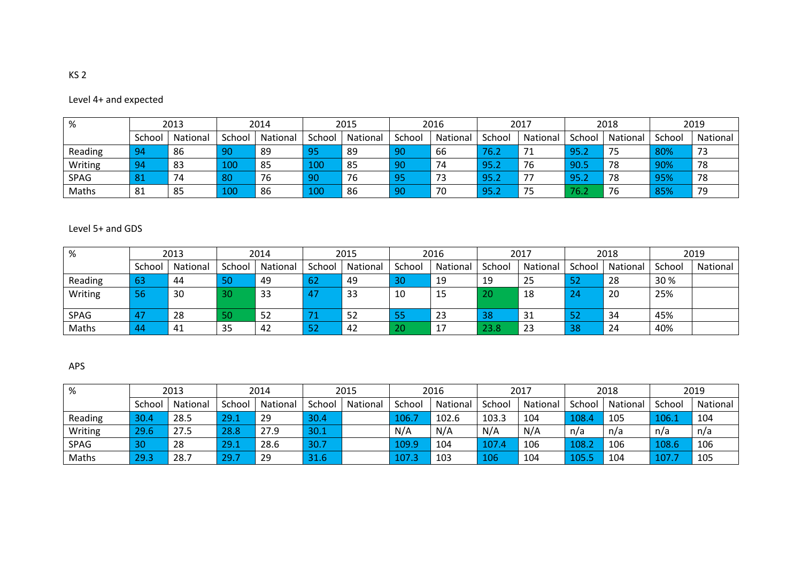| %           | 2013   |          | 2014   |          | 2015   |          | 2016   |                                 | 2017   |             | 2018   |          | 2019   |          |
|-------------|--------|----------|--------|----------|--------|----------|--------|---------------------------------|--------|-------------|--------|----------|--------|----------|
|             | School | National | School | National | School | National | School | National                        | School | National    | School | National | School | National |
| Reading     |        | 86       | -90    | 89       | ΩE     | -89      | 90     | 66                              | 76.2   | 71<br>1 L . | 95.2   | --       | 80%    | 73       |
| Writing     |        | 83       | 100    | 85       | 100    | 85       | 90     | 74                              | 95.2   | 76          | 90.5   | 78       | 90%    | 78       |
| <b>SPAG</b> | О 1    | 74       | 80     | 76       | 90     | 76       | oς     | $\overline{\phantom{a}}$<br>د ، | 95.2   | 77          | 95.2   | 78       | 95%    | 78       |
| Maths       | 81     | 85       | 100    | 86       | 100    | 86       | 90     | 70                              | 95.2   | 75          | 76.2   | 76       | 85%    | 79       |

### Level 5+ and GDS

| %           | 2013   |          |           | 2014     |       | 2015     | 2016<br>2018<br>2017 |                |        |          |        | 2019    |        |          |
|-------------|--------|----------|-----------|----------|-------|----------|----------------------|----------------|--------|----------|--------|---------|--------|----------|
|             | School | National | School    | National | Schoo | National | School               | National       | School | National | School | Nationa | School | National |
| Reading     | 63     | 44       | -50       | 49       | .62   | 49       | 30                   | -19            | 19     | 25       | 52     | 28      | 30 %   |          |
| Writing     | 56     | 30       | -30       | -33      |       | 33       | 10                   | 15             | 20     | 18       | 24     | 20      | 25%    |          |
| <b>SPAG</b> |        | 28       | <b>50</b> | 52       |       | 52       |                      | 23             | 38     | 31       | 52     | 34      | 45%    |          |
| Maths       | 44     | 41       | 35        | 42       | эz    | 42       | 20                   | 17<br><b>L</b> | 23.8   | 23       | 38     | 24      | 40%    |          |

#### APS

| %           | 2013   |          |        | 2014     |        | 2015     |        | 2016     |        | 2017     |        | 2018     |        | 2019     |
|-------------|--------|----------|--------|----------|--------|----------|--------|----------|--------|----------|--------|----------|--------|----------|
|             | School | National | School | National | School | National | School | National | School | National | School | National | School | National |
| Reading     | 30.4   | 28.5     | 29.1   | 29       | 30.4   |          | 106.7  | 102.6    | 103.3  | 104      | 108.4  | 105      | 106.   | 104      |
| Writing     | 29.6   | 27.5     | 28.8   | 27.9     | 30.1   |          | N/A    | N/A      | N/A    | N/A      | n/a    | n/a      | n/a    | n/a      |
| <b>SPAG</b> | 30     | 28       | 29.1   | 28.6     | 30.7   |          | 109.9  | 104      | 107.4  | 106      | 108.2  | 106      | 108.6  | 106      |
| Maths       | 29.3   | 28.7     | 29.1   | 29       | 31.6   |          | 107.3  | 103      | 106    | 104      | 105.5  | 104      | 107    | 105      |

#### KS 2

# Level 4+ and expected